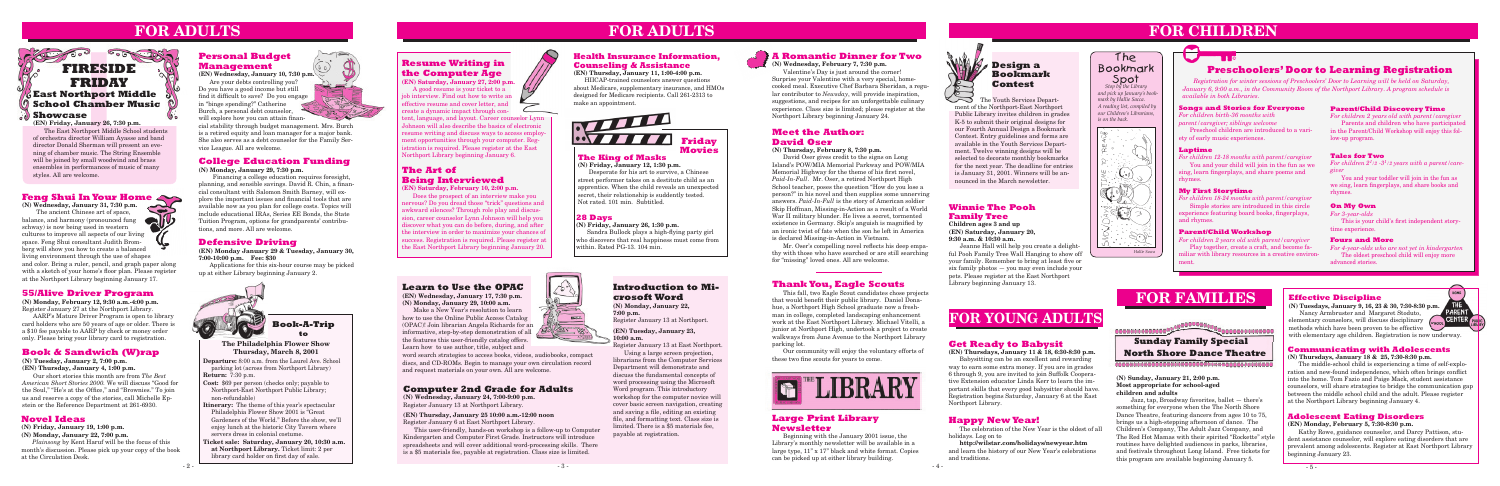**Departure:** 8:00 a.m. from the Laurel Ave. School parking lot (across from Northport Library) **Return:** 7:30 p.m.

**Cost:** \$69 per person (checks only; payable to Northport-East Northport Public Library; non-refundable)

**Itinerary:** The theme of this year's spectacular Philadelphia Flower Show 2001 is "Great Gardeners of the World." Before the show, we'll enjoy lunch at the historic City Tavern where servers dress in colonial costume.

**Ticket sale: Saturday, January 20, 10:30 a.m. at Northport Library.** Ticket limit: 2 per library card holder on first day of sale.



**to**

### **Defensive Driving**

**(EN) Monday January 29 & Tuesday, January 30, 7:00-10:00 p.m. Fee: \$30** 

Applications for this six-hour course may be picked up at either Library beginning January 2.

### **Novel Ideas**

**(N) Friday, January 19, 1:00 p.m.**

**(N) Monday, January 22, 7:00 p.m.**

*Plainsong* by Kent Haruf will be the focus of this month's discussion. Please pick up your copy of the book at the Circulation Desk.

### **Book & Sandwich (W)rap**

**(N) Tuesday, January 2, 7:00 p.m. (EN) Thursday, January 4, 1:00 p.m.**

Our short stories this month are from *The Best American Short Stories 2000.* We will discuss "Good for the Soul," "He's at the Office," and "Brownies." To join us and reserve a copy of the stories, call Michelle Epstein or the Reference Department at 261-6930.

# **FOR ADULTS**



### **College Education Funding**

**(N) Monday, January 29, 7:30 p.m.**

**Feng Shui In Your Home**<br>
(N) Wednesday, January 31, 7:30 p.m.<br>
The ancient Chinese ort of more **(N) Wednesday, January 31, 7:30 p.m.** The ancient Chinese art of space,<br>ance, and harmony (pronounced fung<br>way) is now being used in weather balance, and harmony (pronounced fung schway) is now being used in western cultures to improve all aspects of our living space. Feng Shui consultant Judith Bromberg will show you how to create a balanced living environment through the use of shapes and color. Bring a ruler, pencil, and graph paper along with a sketch of your home's floor plan. Please register at the Northport Library beginning January 17.

 Financing a college education requires foresight, planning, and sensible savings. David R. Chin, a financial consultant with Salomon Smith Barney, will explore the important issues and financial tools that are available now as you plan for college costs. Topics will include educational IRAs, Series EE Bonds, the State Tuition Program, options for grandparents' contributions, and more. All are welcome.

### **Winnie The Pooh Family Tree**

**Children ages 3 and up (EN) Saturday, January 20, 9:30 a.m. & 10:30 a.m.**

Jeanne Hall will help you create a delightful Pooh Family Tree Wall Hanging to show off your family. Remember to bring at least five or six family photos — you may even include your pets. Please register at the East Northport Library beginning January 13.

**(N) Monday, February 12, 9:30 a.m.-4:00 p.m.** Register January 27 at the Northport Library.

AARP's Mature Driver Program is open to library card holders who are 50 years of age or older. There is a \$10 fee payable to AARP by check or money order only. Please bring your library card to registration.

> Kathy Rowe, guidance counselor, and Darcy Pattison, student assistance counselor, will explore eating disorders that are prevalent among adolescents. Register at East Northport Library beginning January 23.

# **FOR CHILDREN**

### **The Philadelphia Flower Show Thursday, March 8, 2001**

 $\emph{For children 2}$ <sup>1</sup>/2 -3<sup>1</sup>/2 years with a parent/care*giver*

You and your toddler will join in the fun as we sing, learn fingerplays, and share books and rhymes.

### **Personal Budget Management**

**(EN) Wednesday, January 10, 7:30 p.m.**

Are your debts controlling you? Do you have a good income but still find it difficult to save? Do you engage in "binge spending?" Catherine Burch, a personal debt counselor, will explore how you can attain finan-

cial stability through budget management. Mrs. Burch is a retired equity and loan manager for a major bank. She also serves as a debt counselor for the Family Service League. All are welcome.

The Youth Services Department of the Northport-East Northport Public Library invites children in grades K-5 to submit their original designs for our Fourth Annual Design a Bookmark Contest. Entry guidelines and forms are available in the Youth Services Department. Twelve winning designs will be selected to decorate monthly bookmarks for the next year. The deadline for entries is January 31, 2001. Winners will be announced in the March newsletter.

## **A Romantic Dinner for Two**

### **(N) Wednesday, February 7, 7:30 p.m.**

Valentine's Day is just around the corner! Surprise your Valentine with a very special, homecooked meal. Executive Chef Barbara Sheridan, a regular contributor to *Newsday*, will provide inspiration, suggestions, and recipes for an unforgettable culinary experience. Class size is limited; please register at the Northport Library beginning January 24.

### **Effective Discipline**

**(N) Tuesdays, January 9, 16, 23 & 30, 7:30-8:30 p.m.** Nancy Armbruster and Margaret Stoduto, elementary counselors, will discuss disciplinary



methods which have been proven to be effective with elementary age children. Registration is now underway.

### **Communicating with Adolescents**

#### **(N) Thursdays, January 18 & 25, 7:30-8:30 p.m.**

The middle-school child is experiencing a time of self-exploration and new-found independence, which often brings conflict into the home. Tom Fazio and Paige Mack, student assistance counselors, will share strategies to bridge the communication gap between the middle school child and the adult. Please register at the Northport Library beginning January 4.

### **Adolescent Eating Disorders**

#### **(EN) Monday, February 5, 7:30-8:30 p.m.**

This fall, two Eagle Scout candidates chose projects<br>
(N) Monday, February 12, 9:30 a.m. 4:00 p.m.<br>
(N) Monday, January 29, 10:00 a.m.<br>
(N) Monday, January 29, 10:00 a.m.<br>
(N) Monday, January 29, 10:00 a.m.<br>
(N) Monday, Ja This fall, two Eagle Scout candidates chose projects that would benefit their public library. Daniel Donahue, a Northport High School graduate now a freshman in college, completed landscaping enhancement work at the East Northport Library. Michael Vitelli, a junior at Northport High, undertook a project to create walkways from June Avenue to the Northport Library parking lot.

# **FOR YOUNG ADULTS**

### **Songs and Stories for Everyone**

*For children birth-36 months with parent/caregiver; siblings welcome* Preschool children are introduced to a vari-

ety of early music experiences.

#### **Laptime**

 $\bullet$ 

*For children 12-18 months with parent/caregiver*

You and your child will join in the fun as we sing, learn fingerplays, and share poems and rhymes.

#### **My First Storytime**

*For children 18-24 months with parent/caregiver*

Simple stories are introduced in this circle experience featuring board books, fingerplays, and rhymes.

#### **Parent/Child Workshop**

*For children 2 years old with parent/caregiver* Play together, create a craft, and become familiar with library resources in a creative environment.

#### **Parent/Child Discovery Time**

*For children 2 years old with parent/caregiver* Parents and children who have participated in the Parent/Child Workshop will enjoy this follow-up program.

tent, language, and layout. Career counselor Lynn Johnson will also describe the basics of electronic resume writing and discuss ways to access employment opportunities through your computer. Registration is required. Please register at the East Northport Library beginning January 6. **The King of Masks** 

#### **Tales for Two**

## **Preschoolers' Door to Learning Registration**

*Registration for winter sessions of Preschoolers' Door to Learning will be held on Saturday, January 6, 9:00 a.m., in the Community Room of the Northport Library. A program schedule is available in both Libraries.*

### **On My Own**

*For 3-year-olds*

 This is your child's first independent storytime experience.

#### **Fours and More**

*For 4-year-olds who are not yet in kindergarten* The oldest preschool child will enjoy more advanced stories.

 *Stop by the Library and pick up January's bookmark by Hallie Sacca. A reading list, compiled by our Children's Librarians, is on the back.*





word search strategies to access books, videos, audiobooks, compact discs, and CD-ROMs. Begin to manage your own circulation record and request materials on your own. All are welcome.

## **Learn to Use the OPAC**

**(EN) Wednesday, January 17, 7:30 p.m. (N) Monday, January 29, 10:00 a.m.**

Make a New Year's resolution to learn how to use the Online Public Access Catalog (OPAC)! Join librarian Angela Richards for an informative, step-by-step demonstration of all the features this user-friendly catalog offers. Learn how to use author, title, subject and

#### **(N) Sunday, January 21, 2:00 p.m. Most appropriate for school-aged children and adults**

 Jazz, tap, Broadway favorites, ballet — there's something for everyone when the The North Shore Dance Theatre, featuring dancers from ages 10 to 75, brings us a high-stepping afternoon of dance. The Children's Company, The Adult Jazz Company, and The Red Hot Mamas with their spirited "Rockette" style routines have delighted audiences in parks, libraries, and festivals throughout Long Island. Free tickets for this program are available beginning January 5.



### **Design a Bookmark Contest**

### **Meet the Author: David Oser**

#### **(N) Thursday, February 8, 7:30 p.m.**

David Oser gives credit to the signs on Long Island's POW/MIA Memorial Parkway and POW/MIA Memorial Highway for the theme of his first novel, *Paid-In-Full*. Mr. Oser, a retired Northport High School teacher, poses the question "How do you lose a person?" in his novel and then supplies some unnerving answers. *Paid-In-Full* is the story of American soldier Skip Hoffman, Missing-in-Action as a result of a World War II military blunder. He lives a secret, tormented existence in Germany. Skip's anguish is magnified by an ironic twist of fate when the son he left in America is declared Missing-in-Action in Vietnam.

 Mr. Oser's compelling novel reflects his deep empathy with those who have searched or are still searching for "missing" loved ones. All are welcome.

### **Thank You, Eagle Scouts**

Our community will enjoy the voluntary efforts of these two fine scouts for years to come.



### **Health Insurance Information, Counseling & Assistance**

**(EN) Thursday, January 11, 1:00-4:00 p.m.**

HIICAP-trained counselors answer questions about Medicare, supplementary insurance, and HMOs designed for Medicare recipients. Call 261-2313 to make an appointment.

### **Large Print Library Newsletter**

Beginning with the January 2001 issue, the Library's monthly newsletter will be available in a large type, 11" x 17" black and white format. Copies can be picked up at either library building.



### **The Art of Being Interviewed (EN) Saturday, February 10, 2:00 p.m.**

Does the prospect of an interview make you nervous? Do you dread those "trick" questions and awkward silences? Through role play and discussion, career counselor Lynn Johnson will help you discover what you can do before, during, and after the interview in order to maximize your chances of success. Registration is required. Please register at the East Northport Library beginning January 20.

### **Get Ready to Babysit**

**(EN) Thursdays, January 11 & 18, 6:30-8:30 p.m.** Babysitting can be an excellent and rewarding way to earn some extra money. If you are in grades 6 through 9, you are invited to join Suffolk Cooperative Extension educator Linda Kerr to learn the important skills that every good babysitter should have. Registration begins Saturday, January 6 at the East Northport Library.

### **FIRESIDE FRIDAY East Northport Middle School Chamber Music Showcase**

 $-400$ 

**(EN) Friday, January 26, 7:30 p.m.** The East Northport Middle School students of orchestra director William Ayasse and band director Donald Sherman will present an evening of chamber music. The String Ensemble will be joined by small woodwind and brass ensembles in performances of music of many styles. All are welcome.

# **FOR ADULTS**

**CONCRETE DIST** 

### **Resume Writing in the Computer Age**

**(EN) Saturday, January 27, 2:00 p.m.** A good resume is your ticket to a

job interview. Find out how to write an effective resume and cover letter, and create a dynamic impact through con-

**(N) Friday, January 12, 1:30 p.m.**

Desperate for his art to survive, a Chinese street performer takes on a destitute child as an apprentice. When the child reveals an unexpected secret, their relationship is suddently tested. Not rated. 101 min. Subtitled.



### **28 Days**

#### **(N) Friday, January 26, 1:30 p.m.**

Sandra Bullock plays a high-flying party girl who discovers that real happiness must come from within. Rated PG-13. 104 min.



### **Happy New Year!**

The celebration of the New Year is the oldest of all holidays. Log on to

**http://wilstar.com/holidays/newyear.htm** and learn the history of our New Year's celebrations and traditions.

### **Introduction to Microsoft Word**

**(N) Monday, January 22, 7:00 p.m.** Register January 13 at Northport.

#### **(EN) Tuesday, January 23, 10:00 a.m.**

Register January 13 at East Northport. Using a large screen projection,

librarians from the Computer Services Department will demonstrate and discuss the fundamental concepts of word processing using the Microsoft Word program. This introductory workshop for the computer novice will cover basic screen navigation, creating and saving a file, editing an existing file, and formatting text. Class size is limited. There is a \$5 materials fee, payable at registration.



## **Computer 2nd Grade for Adults**

**(N) Wednesday, January 24, 7:00-9:00 p.m.** Register January 13 at Northport Library.

**(EN) Thursday, January 25 10:00 a.m.-12:00 noon** Register January 6 at East Northport Library.

This user-friendly, hands-on workshop is a follow-up to Computer Kindergarten and Computer First Grade. Instructors will introduce spreadsheets and will cover additional word-processing skills. There is a \$5 materials fee, payable at registration. Class size is limited.